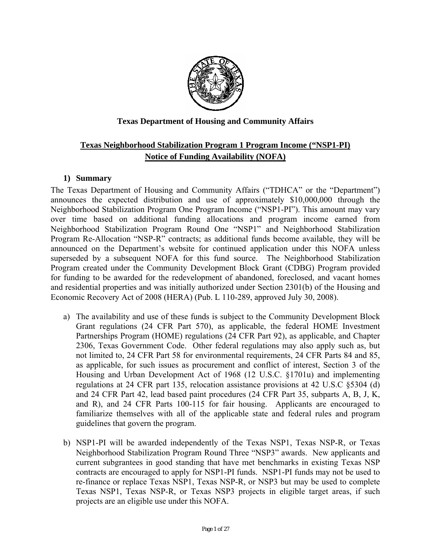

## **Texas Department of Housing and Community Affairs**

# **Texas Neighborhood Stabilization Program 1 Program Income ("NSP1-PI) Notice of Funding Availability (NOFA)**

### **1) Summary**

The Texas Department of Housing and Community Affairs ("TDHCA" or the "Department") announces the expected distribution and use of approximately \$10,000,000 through the Neighborhood Stabilization Program One Program Income ("NSP1-PI"). This amount may vary over time based on additional funding allocations and program income earned from Neighborhood Stabilization Program Round One "NSP1" and Neighborhood Stabilization Program Re-Allocation "NSP-R" contracts; as additional funds become available, they will be announced on the Department's website for continued application under this NOFA unless superseded by a subsequent NOFA for this fund source. The Neighborhood Stabilization Program created under the Community Development Block Grant (CDBG) Program provided for funding to be awarded for the redevelopment of abandoned, foreclosed, and vacant homes and residential properties and was initially authorized under Section 2301(b) of the Housing and Economic Recovery Act of 2008 (HERA) (Pub. L 110-289, approved July 30, 2008).

- a) The availability and use of these funds is subject to the Community Development Block Grant regulations (24 CFR Part 570), as applicable, the federal HOME Investment Partnerships Program (HOME) regulations (24 CFR Part 92), as applicable, and Chapter 2306, Texas Government Code. Other federal regulations may also apply such as, but not limited to, 24 CFR Part 58 for environmental requirements, 24 CFR Parts 84 and 85, as applicable, for such issues as procurement and conflict of interest, Section 3 of the Housing and Urban Development Act of 1968 (12 U.S.C. §1701u) and implementing regulations at 24 CFR part 135, relocation assistance provisions at 42 U.S.C §5304 (d) and 24 CFR Part 42, lead based paint procedures (24 CFR Part 35, subparts A, B, J, K, and R), and 24 CFR Parts 100-115 for fair housing. Applicants are encouraged to familiarize themselves with all of the applicable state and federal rules and program guidelines that govern the program.
- b) NSP1-PI will be awarded independently of the Texas NSP1, Texas NSP-R, or Texas Neighborhood Stabilization Program Round Three "NSP3" awards. New applicants and current subgrantees in good standing that have met benchmarks in existing Texas NSP contracts are encouraged to apply for NSP1-PI funds. NSP1-PI funds may not be used to re-finance or replace Texas NSP1, Texas NSP-R, or NSP3 but may be used to complete Texas NSP1, Texas NSP-R, or Texas NSP3 projects in eligible target areas, if such projects are an eligible use under this NOFA.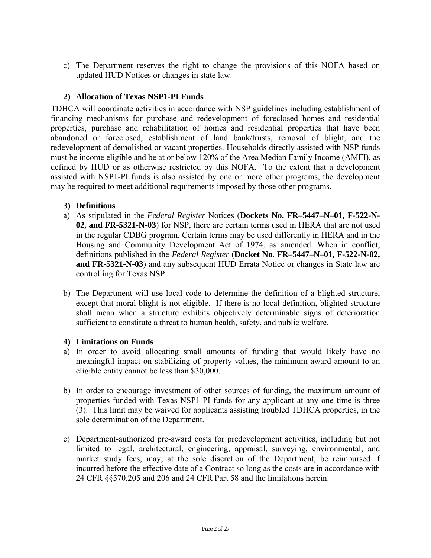c) The Department reserves the right to change the provisions of this NOFA based on updated HUD Notices or changes in state law.

## **2) Allocation of Texas NSP1-PI Funds**

TDHCA will coordinate activities in accordance with NSP guidelines including establishment of financing mechanisms for purchase and redevelopment of foreclosed homes and residential properties, purchase and rehabilitation of homes and residential properties that have been abandoned or foreclosed, establishment of land bank/trusts, removal of blight, and the redevelopment of demolished or vacant properties. Households directly assisted with NSP funds must be income eligible and be at or below 120% of the Area Median Family Income (AMFI), as defined by HUD or as otherwise restricted by this NOFA. To the extent that a development assisted with NSP1-PI funds is also assisted by one or more other programs, the development may be required to meet additional requirements imposed by those other programs.

## **3) Definitions**

- a) As stipulated in the *Federal Register* Notices (**Dockets No. FR–5447–N–01, F-522-N-02, and FR-5321-N-03**) for NSP, there are certain terms used in HERA that are not used in the regular CDBG program. Certain terms may be used differently in HERA and in the Housing and Community Development Act of 1974, as amended. When in conflict, definitions published in the *Federal Register* (**Docket No. FR–5447–N–01, F-522-N-02, and FR-5321-N-03**) and any subsequent HUD Errata Notice or changes in State law are controlling for Texas NSP.
- b) The Department will use local code to determine the definition of a blighted structure, except that moral blight is not eligible. If there is no local definition, blighted structure shall mean when a structure exhibits objectively determinable signs of deterioration sufficient to constitute a threat to human health, safety, and public welfare.

## **4) Limitations on Funds**

- a) In order to avoid allocating small amounts of funding that would likely have no meaningful impact on stabilizing of property values, the minimum award amount to an eligible entity cannot be less than \$30,000.
- b) In order to encourage investment of other sources of funding, the maximum amount of properties funded with Texas NSP1-PI funds for any applicant at any one time is three (3). This limit may be waived for applicants assisting troubled TDHCA properties, in the sole determination of the Department.
- c) Department-authorized pre-award costs for predevelopment activities, including but not limited to legal, architectural, engineering, appraisal, surveying, environmental, and market study fees, may, at the sole discretion of the Department, be reimbursed if incurred before the effective date of a Contract so long as the costs are in accordance with 24 CFR §§570.205 and 206 and 24 CFR Part 58 and the limitations herein.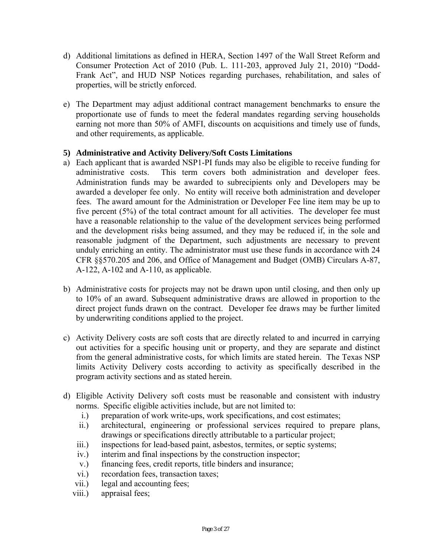- d) Additional limitations as defined in HERA, Section 1497 of the Wall Street Reform and Consumer Protection Act of 2010 (Pub. L. 111-203, approved July 21, 2010) "Dodd-Frank Act", and HUD NSP Notices regarding purchases, rehabilitation, and sales of properties, will be strictly enforced.
- e) The Department may adjust additional contract management benchmarks to ensure the proportionate use of funds to meet the federal mandates regarding serving households earning not more than 50% of AMFI, discounts on acquisitions and timely use of funds, and other requirements, as applicable.

## **5) Administrative and Activity Delivery/Soft Costs Limitations**

- a) Each applicant that is awarded NSP1-PI funds may also be eligible to receive funding for administrative costs. This term covers both administration and developer fees. Administration funds may be awarded to subrecipients only and Developers may be awarded a developer fee only. No entity will receive both administration and developer fees. The award amount for the Administration or Developer Fee line item may be up to five percent (5%) of the total contract amount for all activities. The developer fee must have a reasonable relationship to the value of the development services being performed and the development risks being assumed, and they may be reduced if, in the sole and reasonable judgment of the Department, such adjustments are necessary to prevent unduly enriching an entity. The administrator must use these funds in accordance with 24 CFR §§570.205 and 206, and Office of Management and Budget (OMB) Circulars A-87, A-122, A-102 and A-110, as applicable.
- b) Administrative costs for projects may not be drawn upon until closing, and then only up to 10% of an award. Subsequent administrative draws are allowed in proportion to the direct project funds drawn on the contract. Developer fee draws may be further limited by underwriting conditions applied to the project.
- c) Activity Delivery costs are soft costs that are directly related to and incurred in carrying out activities for a specific housing unit or property, and they are separate and distinct from the general administrative costs, for which limits are stated herein. The Texas NSP limits Activity Delivery costs according to activity as specifically described in the program activity sections and as stated herein.
- d) Eligible Activity Delivery soft costs must be reasonable and consistent with industry norms. Specific eligible activities include, but are not limited to:
	- i.) preparation of work write-ups, work specifications, and cost estimates;
	- ii.) architectural, engineering or professional services required to prepare plans, drawings or specifications directly attributable to a particular project;
	- iii.) inspections for lead-based paint, asbestos, termites, or septic systems;
	- iv.) interim and final inspections by the construction inspector;
	- v.) financing fees, credit reports, title binders and insurance;
	- vi.) recordation fees, transaction taxes;
	- vii.) legal and accounting fees;
	- viii.) appraisal fees;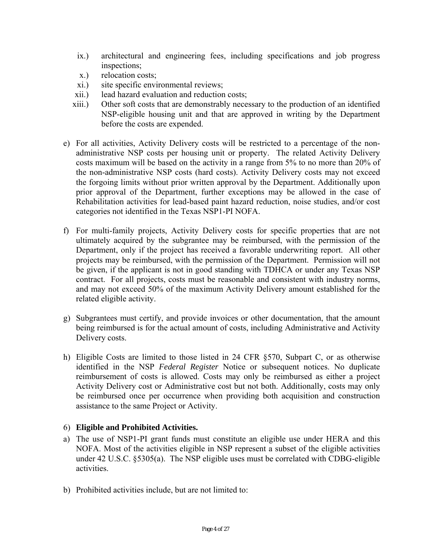- ix.) architectural and engineering fees, including specifications and job progress inspections;
- x.) relocation costs;
- xi.) site specific environmental reviews;
- xii.) lead hazard evaluation and reduction costs;
- xiii.) Other soft costs that are demonstrably necessary to the production of an identified NSP-eligible housing unit and that are approved in writing by the Department before the costs are expended.
- e) For all activities, Activity Delivery costs will be restricted to a percentage of the nonadministrative NSP costs per housing unit or property. The related Activity Delivery costs maximum will be based on the activity in a range from 5% to no more than 20% of the non-administrative NSP costs (hard costs). Activity Delivery costs may not exceed the forgoing limits without prior written approval by the Department. Additionally upon prior approval of the Department, further exceptions may be allowed in the case of Rehabilitation activities for lead-based paint hazard reduction, noise studies, and/or cost categories not identified in the Texas NSP1-PI NOFA.
- f) For multi-family projects, Activity Delivery costs for specific properties that are not ultimately acquired by the subgrantee may be reimbursed, with the permission of the Department, only if the project has received a favorable underwriting report. All other projects may be reimbursed, with the permission of the Department. Permission will not be given, if the applicant is not in good standing with TDHCA or under any Texas NSP contract. For all projects, costs must be reasonable and consistent with industry norms, and may not exceed 50% of the maximum Activity Delivery amount established for the related eligible activity.
- g) Subgrantees must certify, and provide invoices or other documentation, that the amount being reimbursed is for the actual amount of costs, including Administrative and Activity Delivery costs.
- h) Eligible Costs are limited to those listed in 24 CFR §570, Subpart C, or as otherwise identified in the NSP *Federal Register* Notice or subsequent notices. No duplicate reimbursement of costs is allowed. Costs may only be reimbursed as either a project Activity Delivery cost or Administrative cost but not both. Additionally, costs may only be reimbursed once per occurrence when providing both acquisition and construction assistance to the same Project or Activity.

#### 6) **Eligible and Prohibited Activities.**

- a) The use of NSP1-PI grant funds must constitute an eligible use under HERA and this NOFA. Most of the activities eligible in NSP represent a subset of the eligible activities under 42 U.S.C. §5305(a). The NSP eligible uses must be correlated with CDBG-eligible activities.
- b) Prohibited activities include, but are not limited to: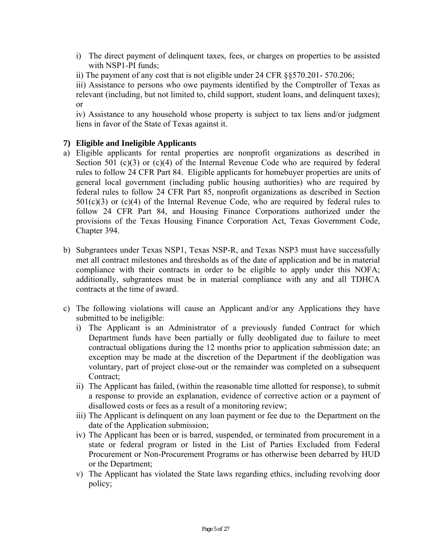- i) The direct payment of delinquent taxes, fees, or charges on properties to be assisted with NSP1-PI funds;
- ii) The payment of any cost that is not eligible under 24 CFR §§570.201- 570.206;

iii) Assistance to persons who owe payments identified by the Comptroller of Texas as relevant (including, but not limited to, child support, student loans, and delinquent taxes); or

iv) Assistance to any household whose property is subject to tax liens and/or judgment liens in favor of the State of Texas against it.

## **7) Eligible and Ineligible Applicants**

- a) Eligible applicants for rental properties are nonprofit organizations as described in Section 501 (c)(3) or (c)(4) of the Internal Revenue Code who are required by federal rules to follow 24 CFR Part 84. Eligible applicants for homebuyer properties are units of general local government (including public housing authorities) who are required by federal rules to follow 24 CFR Part 85, nonprofit organizations as described in Section  $501(c)(3)$  or  $(c)(4)$  of the Internal Revenue Code, who are required by federal rules to follow 24 CFR Part 84, and Housing Finance Corporations authorized under the provisions of the Texas Housing Finance Corporation Act, Texas Government Code, Chapter 394.
- b) Subgrantees under Texas NSP1, Texas NSP-R, and Texas NSP3 must have successfully met all contract milestones and thresholds as of the date of application and be in material compliance with their contracts in order to be eligible to apply under this NOFA; additionally, subgrantees must be in material compliance with any and all TDHCA contracts at the time of award.
- c) The following violations will cause an Applicant and/or any Applications they have submitted to be ineligible:
	- i) The Applicant is an Administrator of a previously funded Contract for which Department funds have been partially or fully deobligated due to failure to meet contractual obligations during the 12 months prior to application submission date; an exception may be made at the discretion of the Department if the deobligation was voluntary, part of project close-out or the remainder was completed on a subsequent Contract:
	- ii) The Applicant has failed, (within the reasonable time allotted for response), to submit a response to provide an explanation, evidence of corrective action or a payment of disallowed costs or fees as a result of a monitoring review;
	- iii) The Applicant is delinquent on any loan payment or fee due to the Department on the date of the Application submission;
	- iv) The Applicant has been or is barred, suspended, or terminated from procurement in a state or federal program or listed in the List of Parties Excluded from Federal Procurement or Non-Procurement Programs or has otherwise been debarred by HUD or the Department;
	- v) The Applicant has violated the State laws regarding ethics, including revolving door policy;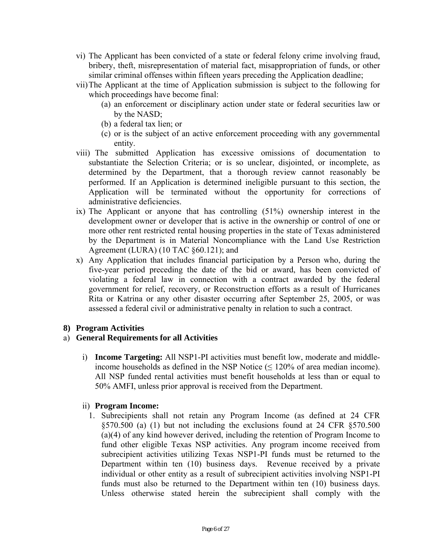- vi) The Applicant has been convicted of a state or federal felony crime involving fraud, bribery, theft, misrepresentation of material fact, misappropriation of funds, or other similar criminal offenses within fifteen years preceding the Application deadline;
- vii)The Applicant at the time of Application submission is subject to the following for which proceedings have become final:
	- (a) an enforcement or disciplinary action under state or federal securities law or by the NASD;
	- (b) a federal tax lien; or
	- (c) or is the subject of an active enforcement proceeding with any governmental entity.
- viii) The submitted Application has excessive omissions of documentation to substantiate the Selection Criteria; or is so unclear, disjointed, or incomplete, as determined by the Department, that a thorough review cannot reasonably be performed. If an Application is determined ineligible pursuant to this section, the Application will be terminated without the opportunity for corrections of administrative deficiencies.
- ix) The Applicant or anyone that has controlling (51%) ownership interest in the development owner or developer that is active in the ownership or control of one or more other rent restricted rental housing properties in the state of Texas administered by the Department is in Material Noncompliance with the Land Use Restriction Agreement (LURA) (10 TAC §60.121); and
- x) Any Application that includes financial participation by a Person who, during the five-year period preceding the date of the bid or award, has been convicted of violating a federal law in connection with a contract awarded by the federal government for relief, recovery, or Reconstruction efforts as a result of Hurricanes Rita or Katrina or any other disaster occurring after September 25, 2005, or was assessed a federal civil or administrative penalty in relation to such a contract.

## **8) Program Activities**

## a) **General Requirements for all Activities**

i) **Income Targeting:** All NSP1-PI activities must benefit low, moderate and middleincome households as defined in the NSP Notice  $(\leq 120\%$  of area median income). All NSP funded rental activities must benefit households at less than or equal to 50% AMFI, unless prior approval is received from the Department.

#### ii) **Program Income:**

1. Subrecipients shall not retain any Program Income (as defined at 24 CFR §570.500 (a) (1) but not including the exclusions found at 24 CFR §570.500 (a)(4) of any kind however derived, including the retention of Program Income to fund other eligible Texas NSP activities. Any program income received from subrecipient activities utilizing Texas NSP1-PI funds must be returned to the Department within ten (10) business days. Revenue received by a private individual or other entity as a result of subrecipient activities involving NSP1-PI funds must also be returned to the Department within ten (10) business days. Unless otherwise stated herein the subrecipient shall comply with the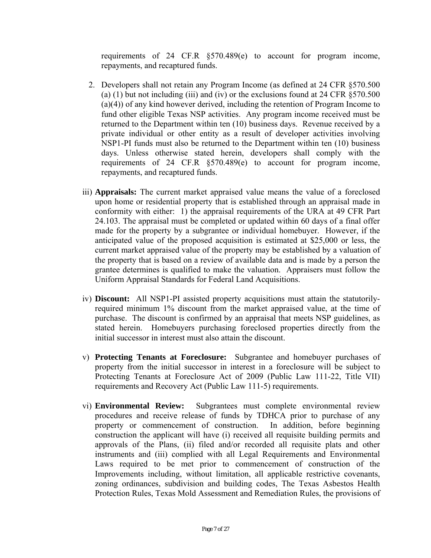requirements of 24 CF.R §570.489(e) to account for program income, repayments, and recaptured funds.

- 2. Developers shall not retain any Program Income (as defined at 24 CFR §570.500 (a) (1) but not including (iii) and (iv) or the exclusions found at 24 CFR  $\S 570.500$ (a)(4)) of any kind however derived, including the retention of Program Income to fund other eligible Texas NSP activities. Any program income received must be returned to the Department within ten (10) business days. Revenue received by a private individual or other entity as a result of developer activities involving NSP1-PI funds must also be returned to the Department within ten (10) business days. Unless otherwise stated herein, developers shall comply with the requirements of 24 CF.R §570.489(e) to account for program income, repayments, and recaptured funds.
- iii) **Appraisals:** The current market appraised value means the value of a foreclosed upon home or residential property that is established through an appraisal made in conformity with either: 1) the appraisal requirements of the URA at 49 CFR Part 24.103. The appraisal must be completed or updated within 60 days of a final offer made for the property by a subgrantee or individual homebuyer. However, if the anticipated value of the proposed acquisition is estimated at \$25,000 or less, the current market appraised value of the property may be established by a valuation of the property that is based on a review of available data and is made by a person the grantee determines is qualified to make the valuation. Appraisers must follow the Uniform Appraisal Standards for Federal Land Acquisitions.
- iv) **Discount:** All NSP1-PI assisted property acquisitions must attain the statutorilyrequired minimum 1% discount from the market appraised value, at the time of purchase. The discount is confirmed by an appraisal that meets NSP guidelines, as stated herein. Homebuyers purchasing foreclosed properties directly from the initial successor in interest must also attain the discount.
- v) **Protecting Tenants at Foreclosure:** Subgrantee and homebuyer purchases of property from the initial successor in interest in a foreclosure will be subject to Protecting Tenants at Foreclosure Act of 2009 (Public Law 111-22, Title VII) requirements and Recovery Act (Public Law 111-5) requirements.
- vi) **Environmental Review:** Subgrantees must complete environmental review procedures and receive release of funds by TDHCA prior to purchase of any property or commencement of construction. In addition, before beginning construction the applicant will have (i) received all requisite building permits and approvals of the Plans, (ii) filed and/or recorded all requisite plats and other instruments and (iii) complied with all Legal Requirements and Environmental Laws required to be met prior to commencement of construction of the Improvements including, without limitation, all applicable restrictive covenants, zoning ordinances, subdivision and building codes, The Texas Asbestos Health Protection Rules, Texas Mold Assessment and Remediation Rules, the provisions of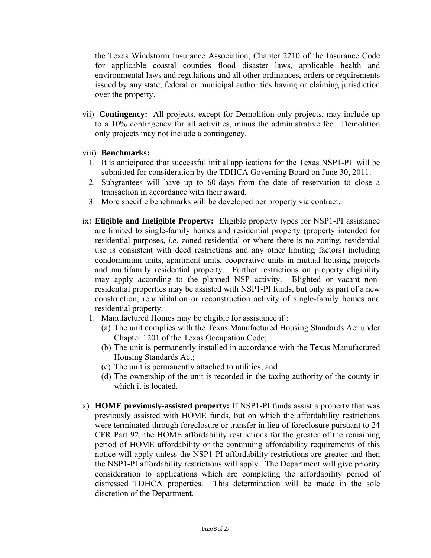the Texas Windstorm Insurance Association, Chapter 2210 of the Insurance Code for applicable coastal counties flood disaster laws, applicable health and environmental laws and regulations and all other ordinances, orders or requirements issued by any state, federal or municipal authorities having or claiming jurisdiction over the property.

 vii) **Contingency:** All projects, except for Demolition only projects, may include up to a 10% contingency for all activities, minus the administrative fee. Demolition only projects may not include a contingency.

## viii) **Benchmarks:**

- 1. It is anticipated that successful initial applications for the Texas NSP1-PI will be submitted for consideration by the TDHCA Governing Board on June 30, 2011.
- 2. Subgrantees will have up to 60-days from the date of reservation to close a transaction in accordance with their award.
- 3. More specific benchmarks will be developed per property via contract.
- ix) **Eligible and Ineligible Property:** Eligible property types for NSP1-PI assistance are limited to single-family homes and residential property (property intended for residential purposes, *i.e.* zoned residential or where there is no zoning, residential use is consistent with deed restrictions and any other limiting factors) including condominium units, apartment units, cooperative units in mutual housing projects and multifamily residential property. Further restrictions on property eligibility may apply according to the planned NSP activity. Blighted or vacant nonresidential properties may be assisted with NSP1-PI funds, but only as part of a new construction, rehabilitation or reconstruction activity of single-family homes and residential property.
	- 1. Manufactured Homes may be eligible for assistance if :
		- (a) The unit complies with the Texas Manufactured Housing Standards Act under Chapter 1201 of the Texas Occupation Code;
		- (b) The unit is permanently installed in accordance with the Texas Manufactured Housing Standards Act;
		- (c) The unit is permanently attached to utilities; and
		- (d) The ownership of the unit is recorded in the taxing authority of the county in which it is located.
- x) **HOME previously-assisted property:** If NSP1-PI funds assist a property that was previously assisted with HOME funds, but on which the affordability restrictions were terminated through foreclosure or transfer in lieu of foreclosure pursuant to 24 CFR Part 92, the HOME affordability restrictions for the greater of the remaining period of HOME affordability or the continuing affordability requirements of this notice will apply unless the NSP1-PI affordability restrictions are greater and then the NSP1-PI affordability restrictions will apply. The Department will give priority consideration to applications which are completing the affordability period of distressed TDHCA properties. This determination will be made in the sole discretion of the Department.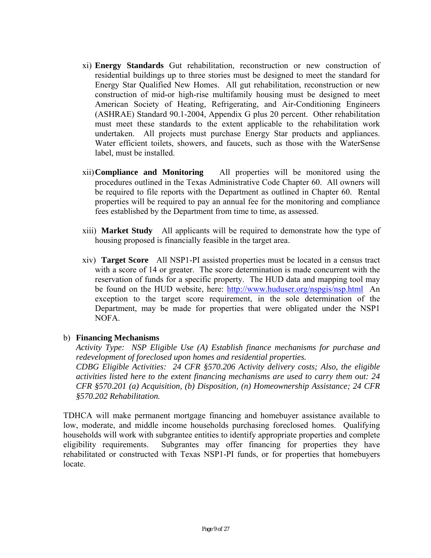- xi) **Energy Standards** Gut rehabilitation, reconstruction or new construction of residential buildings up to three stories must be designed to meet the standard for Energy Star Qualified New Homes. All gut rehabilitation, reconstruction or new construction of mid-or high-rise multifamily housing must be designed to meet American Society of Heating, Refrigerating, and Air-Conditioning Engineers (ASHRAE) Standard 90.1-2004, Appendix G plus 20 percent. Other rehabilitation must meet these standards to the extent applicable to the rehabilitation work undertaken. All projects must purchase Energy Star products and appliances. Water efficient toilets, showers, and faucets, such as those with the WaterSense label, must be installed.
- xii)**Compliance and Monitoring** All properties will be monitored using the procedures outlined in the Texas Administrative Code Chapter 60. All owners will be required to file reports with the Department as outlined in Chapter 60. Rental properties will be required to pay an annual fee for the monitoring and compliance fees established by the Department from time to time, as assessed.
- xiii) **Market Study** All applicants will be required to demonstrate how the type of housing proposed is financially feasible in the target area.
- xiv) **Target Score** All NSP1-PI assisted properties must be located in a census tract with a score of 14 or greater. The score determination is made concurrent with the reservation of funds for a specific property. The HUD data and mapping tool may be found on the HUD website, here: http://www.huduser.org/nspgis/nsp.html An exception to the target score requirement, in the sole determination of the Department, may be made for properties that were obligated under the NSP1 NOFA.

#### b) **Financing Mechanisms**

*Activity Type: NSP Eligible Use (A) Establish finance mechanisms for purchase and redevelopment of foreclosed upon homes and residential properties. CDBG Eligible Activities: 24 CFR §570.206 Activity delivery costs; Also, the eligible activities listed here to the extent financing mechanisms are used to carry them out: 24 CFR §570.201 (a) Acquisition, (b) Disposition, (n) Homeownership Assistance; 24 CFR §570.202 Rehabilitation.* 

TDHCA will make permanent mortgage financing and homebuyer assistance available to low, moderate, and middle income households purchasing foreclosed homes. Qualifying households will work with subgrantee entities to identify appropriate properties and complete eligibility requirements. Subgrantes may offer financing for properties they have rehabilitated or constructed with Texas NSP1-PI funds, or for properties that homebuyers locate.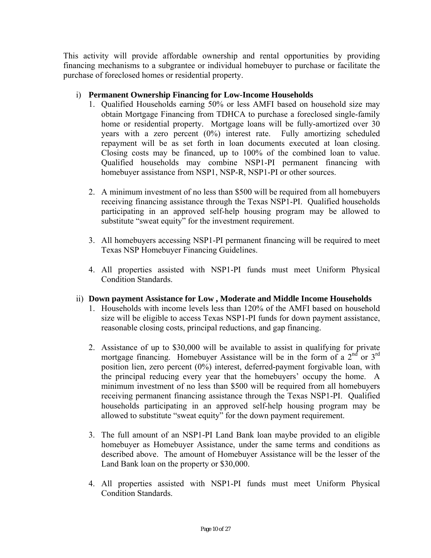This activity will provide affordable ownership and rental opportunities by providing financing mechanisms to a subgrantee or individual homebuyer to purchase or facilitate the purchase of foreclosed homes or residential property.

## i) **Permanent Ownership Financing for Low-Income Households**

- repayment will be as set forth in loan documents executed at loan closing. 1. Qualified Households earning 50% or less AMFI based on household size may obtain Mortgage Financing from TDHCA to purchase a foreclosed single-family home or residential property. Mortgage loans will be fully-amortized over 30 years with a zero percent (0%) interest rate. Fully amortizing scheduled Closing costs may be financed, up to  $100\%$  of the combined loan to value. Qualified households may combine NSP1-PI permanent financing with homebuyer assistance from NSP1, NSP-R, NSP1-PI or other sources.
- 2. A minimum investment of no less than \$500 will be required from all homebuyers receiving financing assistance through the Texas NSP1-PI. Qualified households participating in an approved self-help housing program may be allowed to substitute "sweat equity" for the investment requirement.
- 3. All homebuyers accessing NSP1-PI permanent financing will be required to meet Texas NSP Homebuyer Financing Guidelines.
- 4. All properties assisted with NSP1-PI funds must meet Uniform Physical Condition Standards.

## ii) **Down payment Assistance for Low , Moderate and Middle Income Households**

- 1. Households with income levels less than 120% of the AMFI based on household size will be eligible to access Texas NSP1-PI funds for down payment assistance, reasonable closing costs, principal reductions, and gap financing.
- 2. Assistance of up to \$30,000 will be available to assist in qualifying for private mortgage financing. Homebuyer Assistance will be in the form of a  $2<sup>nd</sup>$  or  $3<sup>rd</sup>$ position lien, zero percent (0%) interest, deferred-payment forgivable loan, with the principal reducing every year that the homebuyers' occupy the home. A minimum investment of no less than \$500 will be required from all homebuyers receiving permanent financing assistance through the Texas NSP1-PI. Qualified households participating in an approved self-help housing program may be allowed to substitute "sweat equity" for the down payment requirement.
- 3. The full amount of an NSP1-PI Land Bank loan maybe provided to an eligible homebuyer as Homebuyer Assistance, under the same terms and conditions as described above. The amount of Homebuyer Assistance will be the lesser of the Land Bank loan on the property or \$30,000.
- 4. All properties assisted with NSP1-PI funds must meet Uniform Physical Condition Standards.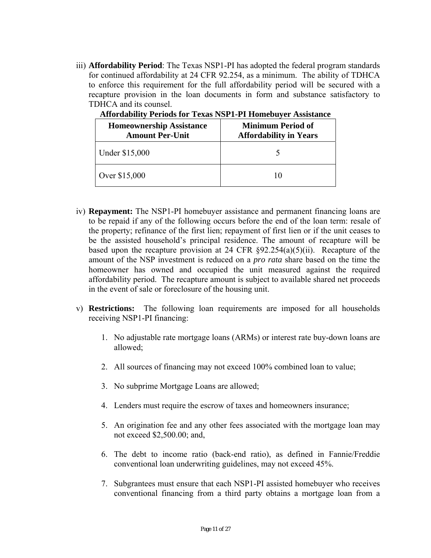iii) **Affordability Period**: The Texas NSP1-PI has adopted the federal program standards for continued affordability at 24 CFR 92.254, as a minimum. The ability of TDHCA to enforce this requirement for the full affordability period will be secured with a recapture provision in the loan documents in form and substance satisfactory to TDHCA and its counsel.

| <b>Homeownership Assistance</b><br><b>Amount Per-Unit</b> | Minimum Period of<br><b>Affordability in Years</b> |
|-----------------------------------------------------------|----------------------------------------------------|
| Under \$15,000                                            |                                                    |
| Over \$15,000                                             | 10                                                 |

**Affordability Periods for Texas NSP1-PI Homebuyer Assistance** 

- iv) **Repayment:** The NSP1-PI homebuyer assistance and permanent financing loans are to be repaid if any of the following occurs before the end of the loan term: resale of the property; refinance of the first lien; repayment of first lien or if the unit ceases to be the assisted household's principal residence. The amount of recapture will be based upon the recapture provision at 24 CFR  $\S 92.254(a)(5)(ii)$ . Recapture of the amount of the NSP investment is reduced on a *pro rata* share based on the time the homeowner has owned and occupied the unit measured against the required affordability period. The recapture amount is subject to available shared net proceeds in the event of sale or foreclosure of the housing unit.
- v) **Restrictions:** The following loan requirements are imposed for all households receiving NSP1-PI financing:
	- 1. No adjustable rate mortgage loans (ARMs) or interest rate buy-down loans are allowed;
	- 2. All sources of financing may not exceed 100% combined loan to value;
	- 3. No subprime Mortgage Loans are allowed;
	- 4. Lenders must require the escrow of taxes and homeowners insurance;
	- 5. An origination fee and any other fees associated with the mortgage loan may not exceed \$2,500.00; and,
	- 6. The debt to income ratio (back-end ratio), as defined in Fannie/Freddie conventional loan underwriting guidelines, may not exceed 45%.
	- 7. Subgrantees must ensure that each NSP1-PI assisted homebuyer who receives conventional financing from a third party obtains a mortgage loan from a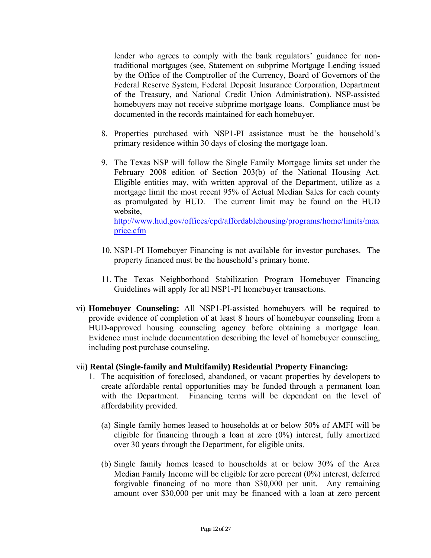lender who agrees to comply with the bank regulators' guidance for nontraditional mortgages (see, Statement on subprime Mortgage Lending issued by the Office of the Comptroller of the Currency, Board of Governors of the Federal Reserve System, Federal Deposit Insurance Corporation, Department of the Treasury, and National Credit Union Administration). NSP-assisted homebuyers may not receive subprime mortgage loans. Compliance must be documented in the records maintained for each homebuyer.

- 8. Properties purchased with NSP1-PI assistance must be the household's primary residence within 30 days of closing the mortgage loan.
- 9. The Texas NSP will follow the Single Family Mortgage limits set under the February 2008 edition of Section 203(b) of the National Housing Act. Eligible entities may, with written approval of the Department, utilize as a mortgage limit the most recent 95% of Actual Median Sales for each county as promulgated by HUD. The current limit may be found on the HUD website,

price.cfm http://www.hud.gov/offices/cpd/affordablehousing/programs/home/limits/max

- 10. NSP1-PI Homebuyer Financing is not available for investor purchases. The property financed must be the household's primary home.
- 11. The Texas Neighborhood Stabilization Program Homebuyer Financing Guidelines will apply for all NSP1-PI homebuyer transactions.
- vi) **Homebuyer Counseling:** All NSP1-PI-assisted homebuyers will be required to provide evidence of completion of at least 8 hours of homebuyer counseling from a HUD-approved housing counseling agency before obtaining a mortgage loan. Evidence must include documentation describing the level of homebuyer counseling, including post purchase counseling.

#### vii**) Rental (Single-family and Multifamily) Residential Property Financing:**

- 1. The acquisition of foreclosed, abandoned, or vacant properties by developers to create affordable rental opportunities may be funded through a permanent loan with the Department. Financing terms will be dependent on the level of affordability provided.
	- (a) Single family homes leased to households at or below 50% of AMFI will be eligible for financing through a loan at zero (0%) interest, fully amortized over 30 years through the Department, for eligible units.
	- (b) Single family homes leased to households at or below 30% of the Area Median Family Income will be eligible for zero percent (0%) interest, deferred forgivable financing of no more than \$30,000 per unit. Any remaining amount over \$30,000 per unit may be financed with a loan at zero percent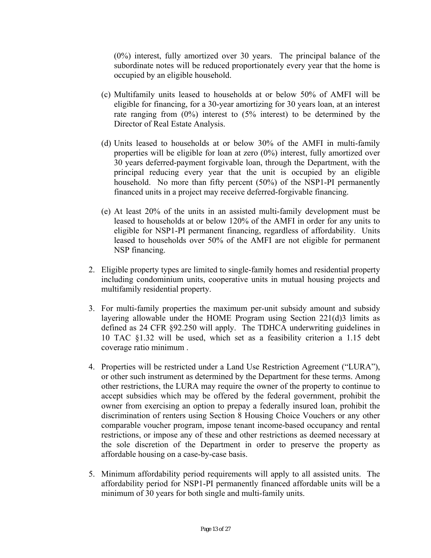(0%) interest, fully amortized over 30 years. The principal balance of the subordinate notes will be reduced proportionately every year that the home is occupied by an eligible household.

- (c) Multifamily units leased to households at or below 50% of AMFI will be eligible for financing, for a 30-year amortizing for 30 years loan, at an interest rate ranging from (0%) interest to (5% interest) to be determined by the Director of Real Estate Analysis.
- (d) Units leased to households at or below 30% of the AMFI in multi-family properties will be eligible for loan at zero (0%) interest, fully amortized over 30 years deferred-payment forgivable loan, through the Department, with the principal reducing every year that the unit is occupied by an eligible household. No more than fifty percent (50%) of the NSP1-PI permanently financed units in a project may receive deferred-forgivable financing.
- (e) At least 20% of the units in an assisted multi-family development must be leased to households at or below 120% of the AMFI in order for any units to eligible for NSP1-PI permanent financing, regardless of affordability. Units leased to households over 50% of the AMFI are not eligible for permanent NSP financing.
- 2. Eligible property types are limited to single-family homes and residential property including condominium units, cooperative units in mutual housing projects and multifamily residential property.
- 3. For multi-family properties the maximum per-unit subsidy amount and subsidy layering allowable under the HOME Program using Section 221(d)3 limits as defined as 24 CFR §92.250 will apply. The TDHCA underwriting guidelines in 10 TAC §1.32 will be used, which set as a feasibility criterion a 1.15 debt coverage ratio minimum .
- 4. Properties will be restricted under a Land Use Restriction Agreement ("LURA"), or other such instrument as determined by the Department for these terms. Among other restrictions, the LURA may require the owner of the property to continue to accept subsidies which may be offered by the federal government, prohibit the owner from exercising an option to prepay a federally insured loan, prohibit the discrimination of renters using Section 8 Housing Choice Vouchers or any other comparable voucher program, impose tenant income-based occupancy and rental restrictions, or impose any of these and other restrictions as deemed necessary at the sole discretion of the Department in order to preserve the property as affordable housing on a case-by-case basis.
- 5. Minimum affordability period requirements will apply to all assisted units. The affordability period for NSP1-PI permanently financed affordable units will be a minimum of 30 years for both single and multi-family units.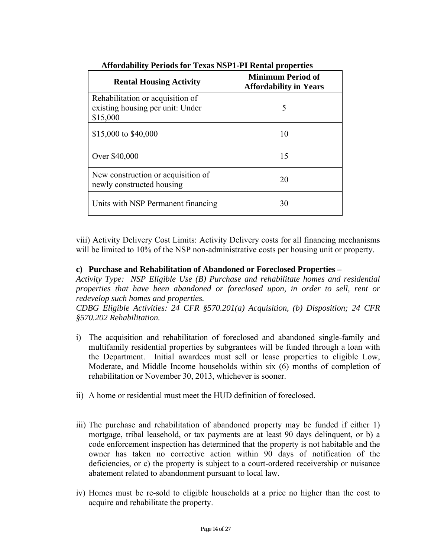| <b>Rental Housing Activity</b>                                                   | <b>Minimum Period of</b><br><b>Affordability in Years</b> |
|----------------------------------------------------------------------------------|-----------------------------------------------------------|
| Rehabilitation or acquisition of<br>existing housing per unit: Under<br>\$15,000 | 5                                                         |
| \$15,000 to \$40,000                                                             | 10                                                        |
| Over \$40,000                                                                    | 15                                                        |
| New construction or acquisition of<br>newly constructed housing                  | 20                                                        |
| Units with NSP Permanent financing                                               | 30                                                        |

**Affordability Periods for Texas NSP1-PI Rental properties** 

viii) Activity Delivery Cost Limits: Activity Delivery costs for all financing mechanisms will be limited to 10% of the NSP non-administrative costs per housing unit or property.

### **c) Purchase and Rehabilitation of Abandoned or Foreclosed Properties –**

*Activity Type: NSP Eligible Use (B) Purchase and rehabilitate homes and residential properties that have been abandoned or foreclosed upon, in order to sell, rent or redevelop such homes and properties.* 

*CDBG Eligible Activities: 24 CFR §570.201(a) Acquisition, (b) Disposition; 24 CFR §570.202 Rehabilitation.* 

- i) The acquisition and rehabilitation of foreclosed and abandoned single-family and multifamily residential properties by subgrantees will be funded through a loan with the Department. Initial awardees must sell or lease properties to eligible Low, Moderate, and Middle Income households within six (6) months of completion of rehabilitation or November 30, 2013, whichever is sooner.
- ii) A home or residential must meet the HUD definition of foreclosed.
- iii) The purchase and rehabilitation of abandoned property may be funded if either 1) mortgage, tribal leasehold, or tax payments are at least 90 days delinquent, or b) a code enforcement inspection has determined that the property is not habitable and the owner has taken no corrective action within 90 days of notification of the deficiencies, or c) the property is subject to a court-ordered receivership or nuisance abatement related to abandonment pursuant to local law.
- iv) Homes must be re-sold to eligible households at a price no higher than the cost to acquire and rehabilitate the property.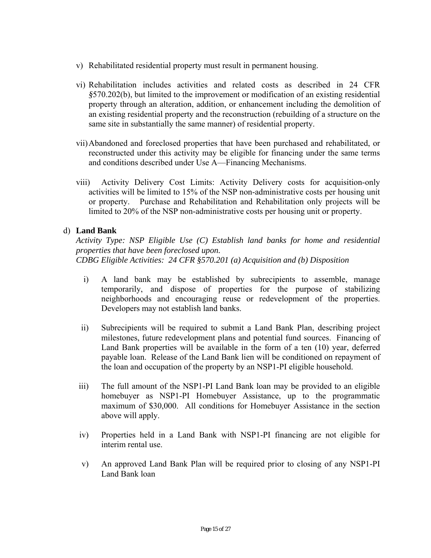- v) Rehabilitated residential property must result in permanent housing.
- vi) Rehabilitation includes activities and related costs as described in 24 CFR *§*570.202(b), but limited to the improvement or modification of an existing residential property through an alteration, addition, or enhancement including the demolition of an existing residential property and the reconstruction (rebuilding of a structure on the same site in substantially the same manner) of residential property.
- vii)Abandoned and foreclosed properties that have been purchased and rehabilitated, or reconstructed under this activity may be eligible for financing under the same terms and conditions described under Use A—Financing Mechanisms.
- viii) Activity Delivery Cost Limits: Activity Delivery costs for acquisition-only activities will be limited to 15% of the NSP non-administrative costs per housing unit or property. Purchase and Rehabilitation and Rehabilitation only projects will be limited to 20% of the NSP non-administrative costs per housing unit or property.

### d) **Land Bank**

*Activity Type: NSP Eligible Use (C) Establish land banks for home and residential properties that have been foreclosed upon. CDBG Eligible Activities: 24 CFR §570.201 (a) Acquisition and (b) Disposition* 

- i) A land bank may be established by subrecipients to assemble, manage temporarily, and dispose of properties for the purpose of stabilizing neighborhoods and encouraging reuse or redevelopment of the properties. Developers may not establish land banks.
- ii) Subrecipients will be required to submit a Land Bank Plan, describing project milestones, future redevelopment plans and potential fund sources. Financing of Land Bank properties will be available in the form of a ten (10) year, deferred payable loan. Release of the Land Bank lien will be conditioned on repayment of the loan and occupation of the property by an NSP1-PI eligible household.
- iii) The full amount of the NSP1-PI Land Bank loan may be provided to an eligible homebuyer as NSP1-PI Homebuyer Assistance, up to the programmatic maximum of \$30,000. All conditions for Homebuyer Assistance in the section above will apply.
- iv) Properties held in a Land Bank with NSP1-PI financing are not eligible for interim rental use.
- v) An approved Land Bank Plan will be required prior to closing of any NSP1-PI Land Bank loan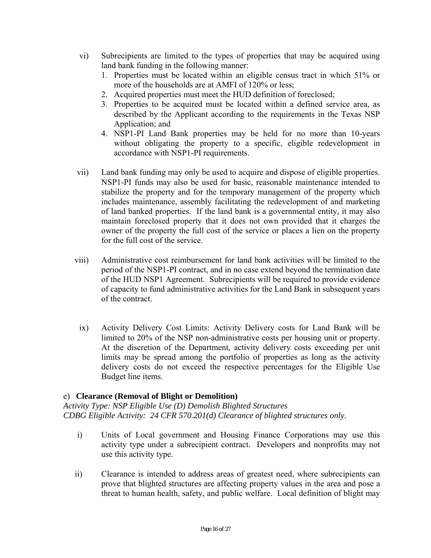- vi) Subrecipients are limited to the types of properties that may be acquired using land bank funding in the following manner:
	- 1. Properties must be located within an eligible census tract in which 51% or more of the households are at AMFI of 120% or less;
	- 2. Acquired properties must meet the HUD definition of foreclosed;
	- 3. Properties to be acquired must be located within a defined service area, as described by the Applicant according to the requirements in the Texas NSP Application; and
	- 4. NSP1-PI Land Bank properties may be held for no more than 10-years without obligating the property to a specific, eligible redevelopment in accordance with NSP1-PI requirements.
- vii) Land bank funding may only be used to acquire and dispose of eligible properties. NSP1-PI funds may also be used for basic, reasonable maintenance intended to stabilize the property and for the temporary management of the property which includes maintenance, assembly facilitating the redevelopment of and marketing of land banked properties. If the land bank is a governmental entity, it may also maintain foreclosed property that it does not own provided that it charges the owner of the property the full cost of the service or places a lien on the property for the full cost of the service.
- viii) Administrative cost reimbursement for land bank activities will be limited to the period of the NSP1-PI contract, and in no case extend beyond the termination date of the HUD NSP1 Agreement. Subrecipients will be required to provide evidence of capacity to fund administrative activities for the Land Bank in subsequent years of the contract.
- ix) Activity Delivery Cost Limits: Activity Delivery costs for Land Bank will be limited to 20% of the NSP non-administrative costs per housing unit or property. At the discretion of the Department, activity delivery costs exceeding per unit limits may be spread among the portfolio of properties as long as the activity delivery costs do not exceed the respective percentages for the Eligible Use Budget line items.

## e) **Clearance (Removal of Blight or Demolition)**

*Activity Type: NSP Eligible Use (D) Demolish Blighted Structures CDBG Eligible Activity: 24 CFR 570.201(d) Clearance of blighted structures only.* 

- i) Units of Local government and Housing Finance Corporations may use this activity type under a subrecipient contract. Developers and nonprofits may not use this activity type.
- ii) Clearance is intended to address areas of greatest need, where subrecipients can prove that blighted structures are affecting property values in the area and pose a threat to human health, safety, and public welfare. Local definition of blight may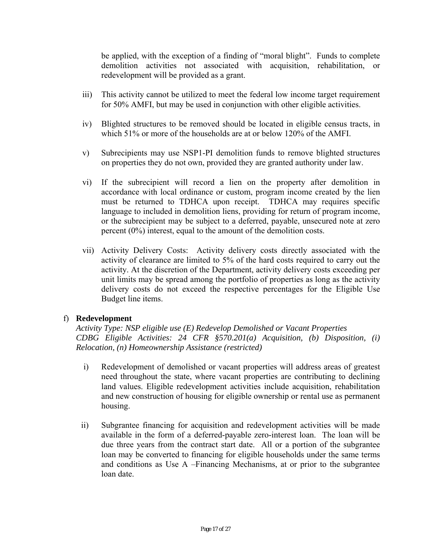be applied, with the exception of a finding of "moral blight". Funds to complete demolition activities not associated with acquisition, rehabilitation, or redevelopment will be provided as a grant.

- iii) This activity cannot be utilized to meet the federal low income target requirement for 50% AMFI, but may be used in conjunction with other eligible activities.
- iv) Blighted structures to be removed should be located in eligible census tracts, in which 51% or more of the households are at or below 120% of the AMFI.
- v) Subrecipients may use NSP1-PI demolition funds to remove blighted structures on properties they do not own, provided they are granted authority under law.
- vi) If the subrecipient will record a lien on the property after demolition in accordance with local ordinance or custom, program income created by the lien must be returned to TDHCA upon receipt. TDHCA may requires specific language to included in demolition liens, providing for return of program income, or the subrecipient may be subject to a deferred, payable, unsecured note at zero percent (0%) interest, equal to the amount of the demolition costs.
- vii) Activity Delivery Costs: Activity delivery costs directly associated with the activity of clearance are limited to 5% of the hard costs required to carry out the activity. At the discretion of the Department, activity delivery costs exceeding per unit limits may be spread among the portfolio of properties as long as the activity delivery costs do not exceed the respective percentages for the Eligible Use Budget line items.

#### f) **Redevelopment**

 *Relocation, (n) Homeownership Assistance (restricted) Activity Type: NSP eligible use (E) Redevelop Demolished or Vacant Properties CDBG Eligible Activities: 24 CFR §570.201(a) Acquisition, (b) Disposition, (i)* 

- i) Redevelopment of demolished or vacant properties will address areas of greatest need throughout the state, where vacant properties are contributing to declining land values. Eligible redevelopment activities include acquisition, rehabilitation and new construction of housing for eligible ownership or rental use as permanent housing.
- ii) Subgrantee financing for acquisition and redevelopment activities will be made available in the form of a deferred-payable zero-interest loan. The loan will be due three years from the contract start date. All or a portion of the subgrantee loan may be converted to financing for eligible households under the same terms and conditions as Use A –Financing Mechanisms, at or prior to the subgrantee loan date.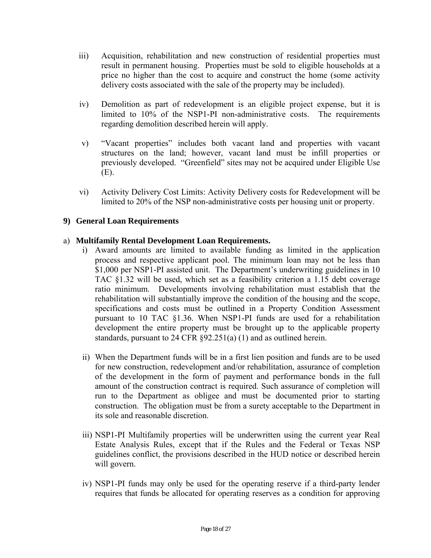- iii) Acquisition, rehabilitation and new construction of residential properties must result in permanent housing. Properties must be sold to eligible households at a price no higher than the cost to acquire and construct the home (some activity delivery costs associated with the sale of the property may be included).
- iv) Demolition as part of redevelopment is an eligible project expense, but it is limited to 10% of the NSP1-PI non-administrative costs. The requirements regarding demolition described herein will apply.
- v) "Vacant properties" includes both vacant land and properties with vacant structures on the land; however, vacant land must be infill properties or previously developed. "Greenfield" sites may not be acquired under Eligible Use (E).
- vi) Activity Delivery Cost Limits: Activity Delivery costs for Redevelopment will be limited to 20% of the NSP non-administrative costs per housing unit or property.

### **9) General Loan Requirements**

### a) **Multifamily Rental Development Loan Requirements.**

- i) Award amounts are limited to available funding as limited in the application process and respective applicant pool. The minimum loan may not be less than \$1,000 per NSP1-PI assisted unit. The Department's underwriting guidelines in 10 TAC §1.32 will be used, which set as a feasibility criterion a 1.15 debt coverage ratio minimum. Developments involving rehabilitation must establish that the rehabilitation will substantially improve the condition of the housing and the scope, specifications and costs must be outlined in a Property Condition Assessment pursuant to 10 TAC §1.36. When NSP1-PI funds are used for a rehabilitation development the entire property must be brought up to the applicable property standards, pursuant to 24 CFR §92.251(a) (1) and as outlined herein.
- ii) When the Department funds will be in a first lien position and funds are to be used for new construction, redevelopment and/or rehabilitation, assurance of completion of the development in the form of payment and performance bonds in the full amount of the construction contract is required. Such assurance of completion will run to the Department as obligee and must be documented prior to starting construction. The obligation must be from a surety acceptable to the Department in its sole and reasonable discretion.
- iii) NSP1-PI Multifamily properties will be underwritten using the current year Real Estate Analysis Rules, except that if the Rules and the Federal or Texas NSP guidelines conflict, the provisions described in the HUD notice or described herein will govern.
- iv) NSP1-PI funds may only be used for the operating reserve if a third-party lender requires that funds be allocated for operating reserves as a condition for approving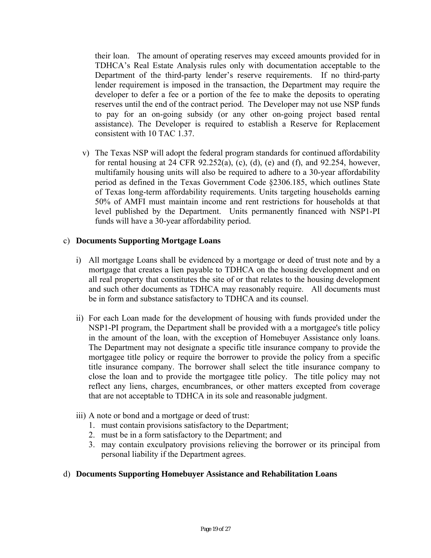their loan. The amount of operating reserves may exceed amounts provided for in TDHCA's Real Estate Analysis rules only with documentation acceptable to the Department of the third-party lender's reserve requirements. If no third-party lender requirement is imposed in the transaction, the Department may require the developer to defer a fee or a portion of the fee to make the deposits to operating reserves until the end of the contract period. The Developer may not use NSP funds to pay for an on-going subsidy (or any other on-going project based rental assistance). The Developer is required to establish a Reserve for Replacement consistent with 10 TAC 1.37.

v) The Texas NSP will adopt the federal program standards for continued affordability for rental housing at 24 CFR  $92.252(a)$ , (c), (d), (e) and (f), and  $92.254$ , however, multifamily housing units will also be required to adhere to a 30-year affordability period as defined in the Texas Government Code §2306.185, which outlines State of Texas long-term affordability requirements. Units targeting households earning 50% of AMFI must maintain income and rent restrictions for households at that level published by the Department. Units permanently financed with NSP1-PI funds will have a 30-year affordability period.

## c) **Documents Supporting Mortgage Loans**

- i) All mortgage Loans shall be evidenced by a mortgage or deed of trust note and by a mortgage that creates a lien payable to TDHCA on the housing development and on all real property that constitutes the site of or that relates to the housing development and such other documents as TDHCA may reasonably require. All documents must be in form and substance satisfactory to TDHCA and its counsel.
- ii) For each Loan made for the development of housing with funds provided under the NSP1-PI program, the Department shall be provided with a a mortgagee's title policy in the amount of the loan, with the exception of Homebuyer Assistance only loans. The Department may not designate a specific title insurance company to provide the mortgagee title policy or require the borrower to provide the policy from a specific title insurance company. The borrower shall select the title insurance company to close the loan and to provide the mortgagee title policy. The title policy may not reflect any liens, charges, encumbrances, or other matters excepted from coverage that are not acceptable to TDHCA in its sole and reasonable judgment.
- iii) A note or bond and a mortgage or deed of trust:
	- 1. must contain provisions satisfactory to the Department;
	- 2. must be in a form satisfactory to the Department; and
	- 3. may contain exculpatory provisions relieving the borrower or its principal from personal liability if the Department agrees.

#### d) **Documents Supporting Homebuyer Assistance and Rehabilitation Loans**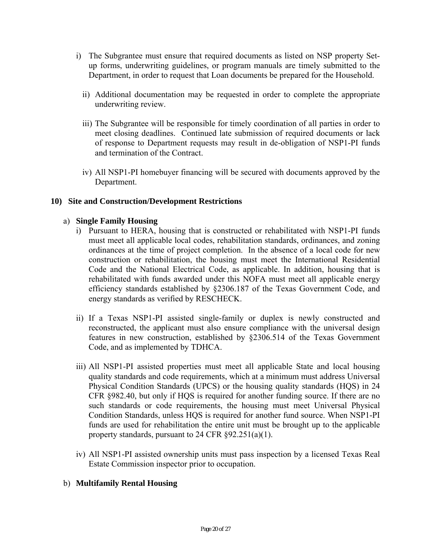- i) The Subgrantee must ensure that required documents as listed on NSP property Setup forms, underwriting guidelines, or program manuals are timely submitted to the Department, in order to request that Loan documents be prepared for the Household.
	- ii) Additional documentation may be requested in order to complete the appropriate underwriting review.
	- iii) The Subgrantee will be responsible for timely coordination of all parties in order to meet closing deadlines. Continued late submission of required documents or lack of response to Department requests may result in de-obligation of NSP1-PI funds and termination of the Contract.
	- iv) All NSP1-PI homebuyer financing will be secured with documents approved by the Department.

### **10) Site and Construction/Development Restrictions**

### a) **Single Family Housing**

- i) Pursuant to HERA, housing that is constructed or rehabilitated with NSP1-PI funds must meet all applicable local codes, rehabilitation standards, ordinances, and zoning ordinances at the time of project completion. In the absence of a local code for new construction or rehabilitation, the housing must meet the International Residential Code and the National Electrical Code, as applicable. In addition, housing that is rehabilitated with funds awarded under this NOFA must meet all applicable energy efficiency standards established by §2306.187 of the Texas Government Code, and energy standards as verified by RESCHECK.
- ii) If a Texas NSP1-PI assisted single-family or duplex is newly constructed and reconstructed, the applicant must also ensure compliance with the universal design features in new construction, established by §2306.514 of the Texas Government Code, and as implemented by TDHCA.
- iii) All NSP1-PI assisted properties must meet all applicable State and local housing quality standards and code requirements, which at a minimum must address Universal Physical Condition Standards (UPCS) or the housing quality standards (HQS) in 24 CFR §982.40, but only if HQS is required for another funding source. If there are no such standards or code requirements, the housing must meet Universal Physical Condition Standards, unless HQS is required for another fund source. When NSP1-PI funds are used for rehabilitation the entire unit must be brought up to the applicable property standards, pursuant to 24 CFR §92.251(a)(1).
- iv) All NSP1-PI assisted ownership units must pass inspection by a licensed Texas Real Estate Commission inspector prior to occupation.

#### b) **Multifamily Rental Housing**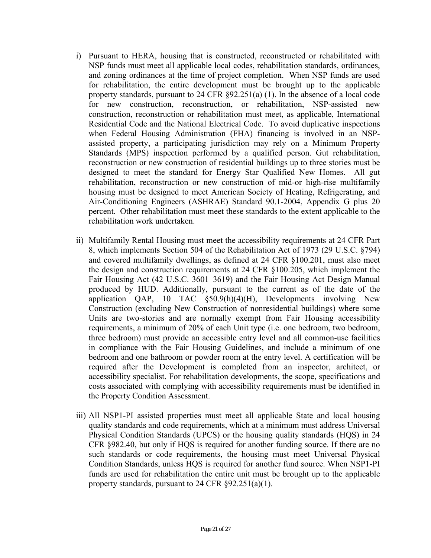- i) Pursuant to HERA, housing that is constructed, reconstructed or rehabilitated with NSP funds must meet all applicable local codes, rehabilitation standards, ordinances, and zoning ordinances at the time of project completion. When NSP funds are used for rehabilitation, the entire development must be brought up to the applicable property standards, pursuant to 24 CFR §92.251(a) (1). In the absence of a local code for new construction, reconstruction, or rehabilitation, NSP-assisted new construction, reconstruction or rehabilitation must meet, as applicable, International Residential Code and the National Electrical Code. To avoid duplicative inspections when Federal Housing Administration (FHA) financing is involved in an NSPassisted property, a participating jurisdiction may rely on a Minimum Property Standards (MPS) inspection performed by a qualified person. Gut rehabilitation, reconstruction or new construction of residential buildings up to three stories must be designed to meet the standard for Energy Star Qualified New Homes. All gut rehabilitation, reconstruction or new construction of mid-or high-rise multifamily housing must be designed to meet American Society of Heating, Refrigerating, and Air-Conditioning Engineers (ASHRAE) Standard 90.1-2004, Appendix G plus 20 percent. Other rehabilitation must meet these standards to the extent applicable to the rehabilitation work undertaken.
- ii) Multifamily Rental Housing must meet the accessibility requirements at 24 CFR Part 8, which implements Section 504 of the Rehabilitation Act of 1973 (29 U.S.C. §794) and covered multifamily dwellings, as defined at 24 CFR §100.201, must also meet the design and construction requirements at 24 CFR §100.205, which implement the Fair Housing Act (42 U.S.C. 3601–3619) and the Fair Housing Act Design Manual produced by HUD. Additionally, pursuant to the current as of the date of the application QAP, 10 TAC §50.9(h)(4)(H), Developments involving New Construction (excluding New Construction of nonresidential buildings) where some Units are two-stories and are normally exempt from Fair Housing accessibility requirements, a minimum of 20% of each Unit type (i.e. one bedroom, two bedroom, three bedroom) must provide an accessible entry level and all common-use facilities in compliance with the Fair Housing Guidelines, and include a minimum of one bedroom and one bathroom or powder room at the entry level. A certification will be required after the Development is completed from an inspector, architect, or accessibility specialist. For rehabilitation developments, the scope, specifications and costs associated with complying with accessibility requirements must be identified in the Property Condition Assessment.
- iii) All NSP1-PI assisted properties must meet all applicable State and local housing quality standards and code requirements, which at a minimum must address Universal Physical Condition Standards (UPCS) or the housing quality standards (HQS) in 24 CFR §982.40, but only if HQS is required for another funding source. If there are no such standards or code requirements, the housing must meet Universal Physical Condition Standards, unless HQS is required for another fund source. When NSP1-PI funds are used for rehabilitation the entire unit must be brought up to the applicable property standards, pursuant to 24 CFR §92.251(a)(1).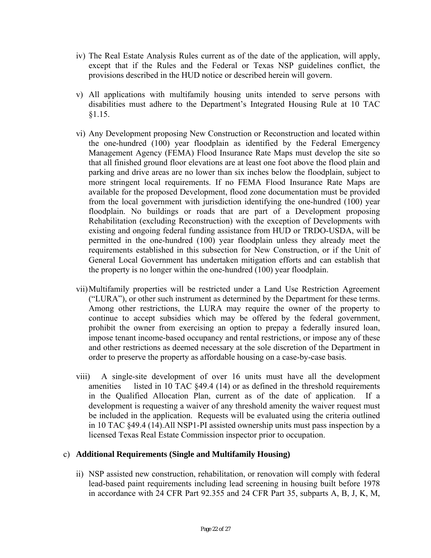- iv) The Real Estate Analysis Rules current as of the date of the application, will apply, except that if the Rules and the Federal or Texas NSP guidelines conflict, the provisions described in the HUD notice or described herein will govern.
- v) All applications with multifamily housing units intended to serve persons with disabilities must adhere to the Department's Integrated Housing Rule at 10 TAC §1.15.
- vi) Any Development proposing New Construction or Reconstruction and located within the one-hundred (100) year floodplain as identified by the Federal Emergency Management Agency (FEMA) Flood Insurance Rate Maps must develop the site so that all finished ground floor elevations are at least one foot above the flood plain and parking and drive areas are no lower than six inches below the floodplain, subject to more stringent local requirements. If no FEMA Flood Insurance Rate Maps are available for the proposed Development, flood zone documentation must be provided from the local government with jurisdiction identifying the one-hundred (100) year floodplain. No buildings or roads that are part of a Development proposing Rehabilitation (excluding Reconstruction) with the exception of Developments with existing and ongoing federal funding assistance from HUD or TRDO-USDA, will be permitted in the one-hundred (100) year floodplain unless they already meet the requirements established in this subsection for New Construction, or if the Unit of General Local Government has undertaken mitigation efforts and can establish that the property is no longer within the one-hundred (100) year floodplain.
- vii)Multifamily properties will be restricted under a Land Use Restriction Agreement ("LURA"), or other such instrument as determined by the Department for these terms. Among other restrictions, the LURA may require the owner of the property to continue to accept subsidies which may be offered by the federal government, prohibit the owner from exercising an option to prepay a federally insured loan, impose tenant income-based occupancy and rental restrictions, or impose any of these and other restrictions as deemed necessary at the sole discretion of the Department in order to preserve the property as affordable housing on a case-by-case basis.
- viii) A single-site development of over 16 units must have all the development amenities listed in 10 TAC §49.4 (14) or as defined in the threshold requirements in the Qualified Allocation Plan, current as of the date of application. If a development is requesting a waiver of any threshold amenity the waiver request must be included in the application. Requests will be evaluated using the criteria outlined in 10 TAC §49.4 (14).All NSP1-PI assisted ownership units must pass inspection by a licensed Texas Real Estate Commission inspector prior to occupation.

## c) **Additional Requirements (Single and Multifamily Housing)**

ii) NSP assisted new construction, rehabilitation, or renovation will comply with federal lead-based paint requirements including lead screening in housing built before 1978 in accordance with 24 CFR Part 92.355 and 24 CFR Part 35, subparts A, B, J, K, M,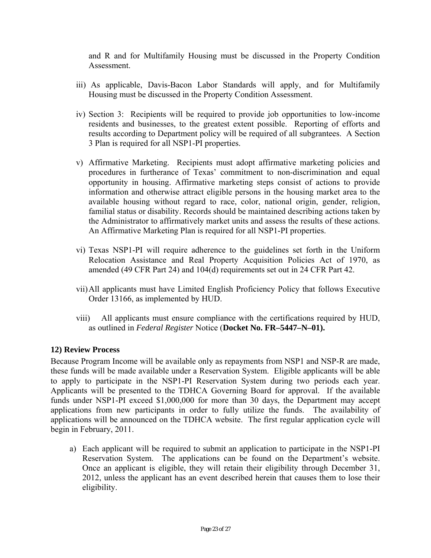and R and for Multifamily Housing must be discussed in the Property Condition **Assessment** 

- iii) As applicable, Davis-Bacon Labor Standards will apply, and for Multifamily Housing must be discussed in the Property Condition Assessment.
- iv) Section 3: Recipients will be required to provide job opportunities to low-income residents and businesses, to the greatest extent possible. Reporting of efforts and results according to Department policy will be required of all subgrantees. A Section 3 Plan is required for all NSP1-PI properties.
- v) Affirmative Marketing. Recipients must adopt affirmative marketing policies and procedures in furtherance of Texas' commitment to non-discrimination and equal opportunity in housing. Affirmative marketing steps consist of actions to provide information and otherwise attract eligible persons in the housing market area to the available housing without regard to race, color, national origin, gender, religion, familial status or disability. Records should be maintained describing actions taken by the Administrator to affirmatively market units and assess the results of these actions. An Affirmative Marketing Plan is required for all NSP1-PI properties.
- vi) Texas NSP1-PI will require adherence to the guidelines set forth in the Uniform Relocation Assistance and Real Property Acquisition Policies Act of 1970, as amended (49 CFR Part 24) and 104(d) requirements set out in 24 CFR Part 42.
- vii)All applicants must have Limited English Proficiency Policy that follows Executive Order 13166, as implemented by HUD.
- viii) All applicants must ensure compliance with the certifications required by HUD, as outlined in *Federal Register* Notice (**Docket No. FR–5447–N–01).**

## **12) Review Process**

to apply to participate in the NSP1-PI Reservation System during two periods each year. Because Program Income will be available only as repayments from NSP1 and NSP-R are made, these funds will be made available under a Reservation System. Eligible applicants will be able Applicants will be presented to the TDHCA Governing Board for approval. If the available funds under NSP1-PI exceed \$1,000,000 for more than 30 days, the Department may accept applications from new participants in order to fully utilize the funds. The availability of applications will be announced on the TDHCA website. The first regular application cycle will begin in February, 2011.

a) Each applicant will be required to submit an application to participate in the NSP1-PI Reservation System. The applications can be found on the Department's website. Once an applicant is eligible, they will retain their eligibility through December 31, 2012, unless the applicant has an event described herein that causes them to lose their eligibility.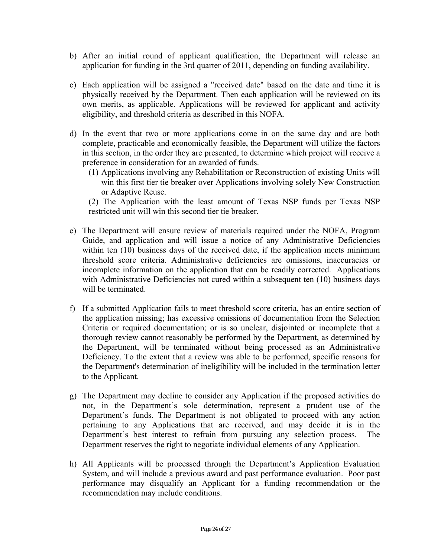- b) After an initial round of applicant qualification, the Department will release an application for funding in the 3rd quarter of 2011, depending on funding availability.
- c) Each application will be assigned a "received date" based on the date and time it is physically received by the Department. Then each application will be reviewed on its own merits, as applicable. Applications will be reviewed for applicant and activity eligibility, and threshold criteria as described in this NOFA.
- d) In the event that two or more applications come in on the same day and are both complete, practicable and economically feasible, the Department will utilize the factors in this section, in the order they are presented, to determine which project will receive a preference in consideration for an awarded of funds.
	- (1) Applications involving any Rehabilitation or Reconstruction of existing Units will win this first tier tie breaker over Applications involving solely New Construction or Adaptive Reuse.

(2) The Application with the least amount of Texas NSP funds per Texas NSP restricted unit will win this second tier tie breaker.

- e) The Department will ensure review of materials required under the NOFA, Program Guide, and application and will issue a notice of any Administrative Deficiencies within ten (10) business days of the received date, if the application meets minimum threshold score criteria. Administrative deficiencies are omissions, inaccuracies or incomplete information on the application that can be readily corrected. Applications with Administrative Deficiencies not cured within a subsequent ten (10) business days will be terminated.
- f) If a submitted Application fails to meet threshold score criteria, has an entire section of the application missing; has excessive omissions of documentation from the Selection Criteria or required documentation; or is so unclear, disjointed or incomplete that a thorough review cannot reasonably be performed by the Department, as determined by the Department, will be terminated without being processed as an Administrative Deficiency. To the extent that a review was able to be performed, specific reasons for the Department's determination of ineligibility will be included in the termination letter to the Applicant.
- g) The Department may decline to consider any Application if the proposed activities do not, in the Department's sole determination, represent a prudent use of the Department's funds. The Department is not obligated to proceed with any action pertaining to any Applications that are received, and may decide it is in the Department's best interest to refrain from pursuing any selection process. The Department reserves the right to negotiate individual elements of any Application.
- h) All Applicants will be processed through the Department's Application Evaluation System, and will include a previous award and past performance evaluation. Poor past performance may disqualify an Applicant for a funding recommendation or the recommendation may include conditions.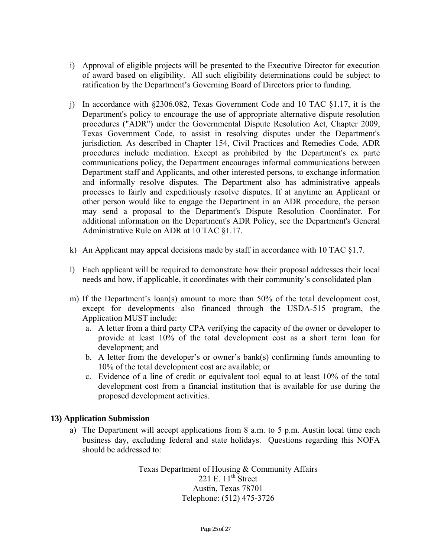- i) Approval of eligible projects will be presented to the Executive Director for execution of award based on eligibility. All such eligibility determinations could be subject to ratification by the Department's Governing Board of Directors prior to funding.
- j) In accordance with  $\S 2306.082$ , Texas Government Code and 10 TAC  $\S 1.17$ , it is the Department's policy to encourage the use of appropriate alternative dispute resolution procedures ("ADR") under the Governmental Dispute Resolution Act, Chapter 2009, Texas Government Code, to assist in resolving disputes under the Department's jurisdiction. As described in Chapter 154, Civil Practices and Remedies Code, ADR procedures include mediation. Except as prohibited by the Department's ex parte communications policy, the Department encourages informal communications between Department staff and Applicants, and other interested persons, to exchange information and informally resolve disputes. The Department also has administrative appeals processes to fairly and expeditiously resolve disputes. If at anytime an Applicant or other person would like to engage the Department in an ADR procedure, the person may send a proposal to the Department's Dispute Resolution Coordinator. For additional information on the Department's ADR Policy, see the Department's General Administrative Rule on ADR at 10 TAC §1.17.
- k) An Applicant may appeal decisions made by staff in accordance with 10 TAC  $\S 1.7$ .
- l) Each applicant will be required to demonstrate how their proposal addresses their local needs and how, if applicable, it coordinates with their community's consolidated plan
- m) If the Department's loan(s) amount to more than 50% of the total development cost, except for developments also financed through the USDA-515 program, the Application MUST include:
	- a. A letter from a third party CPA verifying the capacity of the owner or developer to provide at least 10% of the total development cost as a short term loan for development; and
	- b. A letter from the developer's or owner's bank(s) confirming funds amounting to 10% of the total development cost are available; or
	- c. Evidence of a line of credit or equivalent tool equal to at least 10% of the total development cost from a financial institution that is available for use during the proposed development activities.

## **13) Application Submission**

a) The Department will accept applications from 8 a.m. to 5 p.m. Austin local time each business day, excluding federal and state holidays. Questions regarding this NOFA should be addressed to:

> Texas Department of Housing & Community Affairs 221 E.  $11^{th}$  Street Austin, Texas 78701 Telephone: (512) 475-3726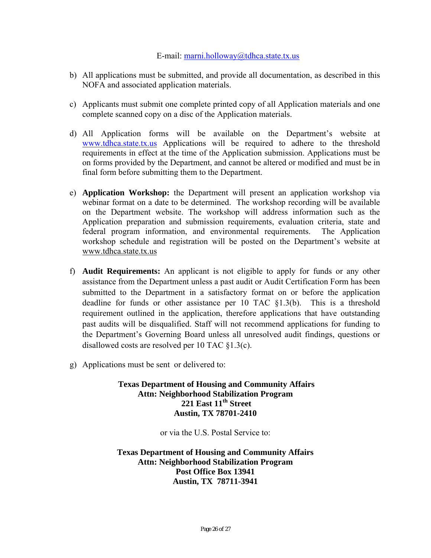#### E-mail: marni.holloway@tdhca.state.tx.us

- b) All applications must be submitted, and provide all documentation, as described in this NOFA and associated application materials.
- c) Applicants must submit one complete printed copy of all Application materials and one complete scanned copy on a disc of the Application materials.
- d) All Application forms will be available on the Department's website at www.tdhca.state.tx.us Applications will be required to adhere to the threshold requirements in effect at the time of the Application submission. Applications must be on forms provided by the Department, and cannot be altered or modified and must be in final form before submitting them to the Department.
- e) **Application Workshop:** the Department will present an application workshop via webinar format on a date to be determined. The workshop recording will be available on the Department website. The workshop will address information such as the Application preparation and submission requirements, evaluation criteria, state and federal program information, and environmental requirements. The Application workshop schedule and registration will be posted on the Department's website at www.tdhca.state.tx.us
- f) **Audit Requirements:** An applicant is not eligible to apply for funds or any other assistance from the Department unless a past audit or Audit Certification Form has been submitted to the Department in a satisfactory format on or before the application deadline for funds or other assistance per 10 TAC §1.3(b). This is a threshold requirement outlined in the application, therefore applications that have outstanding past audits will be disqualified. Staff will not recommend applications for funding to the Department's Governing Board unless all unresolved audit findings, questions or disallowed costs are resolved per 10 TAC §1.3(c).
- g) Applications must be sent or delivered to:

**Texas Department of Housing and Community Affairs Attn: Neighborhood Stabilization Program 221 East 11th Street Austin, TX 78701-2410** 

or via the U.S. Postal Service to:

**Texas Department of Housing and Community Affairs Attn: Neighborhood Stabilization Program Post Office Box 13941 Austin, TX 78711-3941**